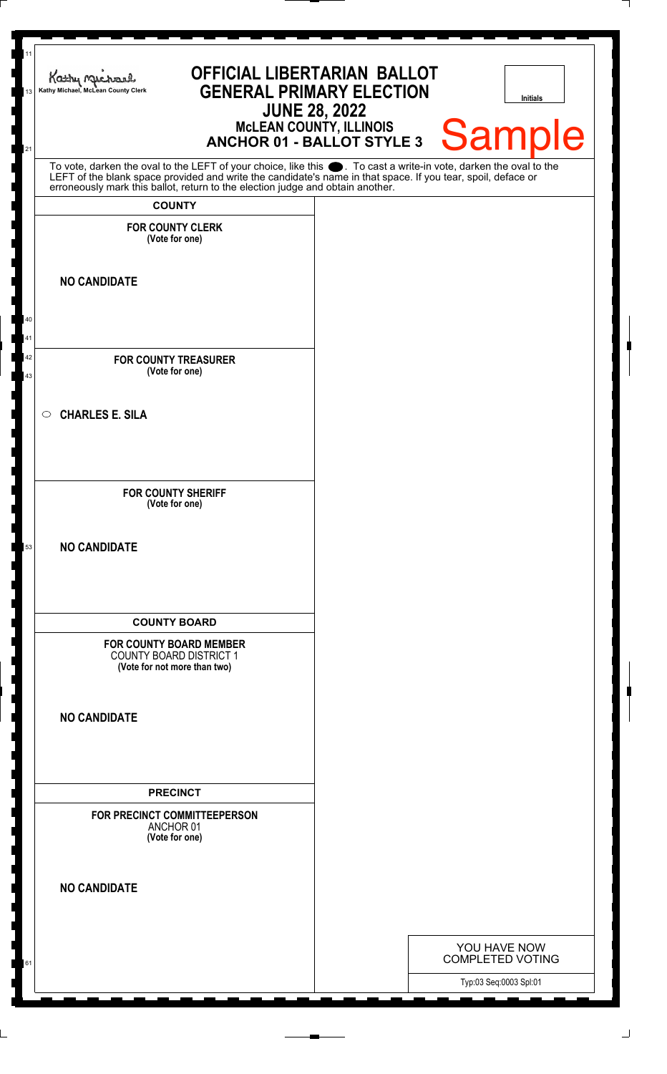| 11<br>13<br>21 | <b>OFFICIAL LIBERTARIAN BALLOT</b><br>Kathy Michael<br><b>GENERAL PRIMARY ELECTION</b><br>Kathy Michael, McLean County Clerk<br><b>JUNE 28, 2022</b><br><b>ANCHOR 01 - BALLOT STYLE 3</b>                                                                                                                              | <b>MCLEAN COUNTY, ILLINOIS</b> | <b>Initials</b><br><b>Sample</b>           |  |
|----------------|------------------------------------------------------------------------------------------------------------------------------------------------------------------------------------------------------------------------------------------------------------------------------------------------------------------------|--------------------------------|--------------------------------------------|--|
|                | To vote, darken the oval to the LEFT of your choice, like this $\bullet$ . To cast a write-in vote, darken the oval to the LEFT of the blank space provided and write the candidate's name in that space. If you tear, spoil, deface<br>erroneously mark this ballot, return to the election judge and obtain another. |                                |                                            |  |
|                | <b>COUNTY</b>                                                                                                                                                                                                                                                                                                          |                                |                                            |  |
|                | <b>FOR COUNTY CLERK</b><br>(Vote for one)                                                                                                                                                                                                                                                                              |                                |                                            |  |
|                | <b>NO CANDIDATE</b>                                                                                                                                                                                                                                                                                                    |                                |                                            |  |
| 40<br>41       |                                                                                                                                                                                                                                                                                                                        |                                |                                            |  |
| 42<br>43       | <b>FOR COUNTY TREASURER</b><br>(Vote for one)                                                                                                                                                                                                                                                                          |                                |                                            |  |
|                | <b>CHARLES E. SILA</b><br>$\circ$                                                                                                                                                                                                                                                                                      |                                |                                            |  |
|                | <b>FOR COUNTY SHERIFF</b><br>(Vote for one)                                                                                                                                                                                                                                                                            |                                |                                            |  |
| 53             | <b>NO CANDIDATE</b>                                                                                                                                                                                                                                                                                                    |                                |                                            |  |
|                | <b>COUNTY BOARD</b>                                                                                                                                                                                                                                                                                                    |                                |                                            |  |
|                | <b>FOR COUNTY BOARD MEMBER</b><br><b>COUNTY BOARD DISTRICT 1</b><br>(Vote for not more than two)                                                                                                                                                                                                                       |                                |                                            |  |
|                | <b>NO CANDIDATE</b>                                                                                                                                                                                                                                                                                                    |                                |                                            |  |
|                | <b>PRECINCT</b>                                                                                                                                                                                                                                                                                                        |                                |                                            |  |
|                | FOR PRECINCT COMMITTEEPERSON<br>ANCHOR 01<br>(Vote for one)                                                                                                                                                                                                                                                            |                                |                                            |  |
|                | <b>NO CANDIDATE</b>                                                                                                                                                                                                                                                                                                    |                                |                                            |  |
|                |                                                                                                                                                                                                                                                                                                                        |                                | YOU HAVE NOW                               |  |
| 61             |                                                                                                                                                                                                                                                                                                                        |                                | COMPLETED VOTING<br>Typ:03 Seq:0003 Spl:01 |  |

J